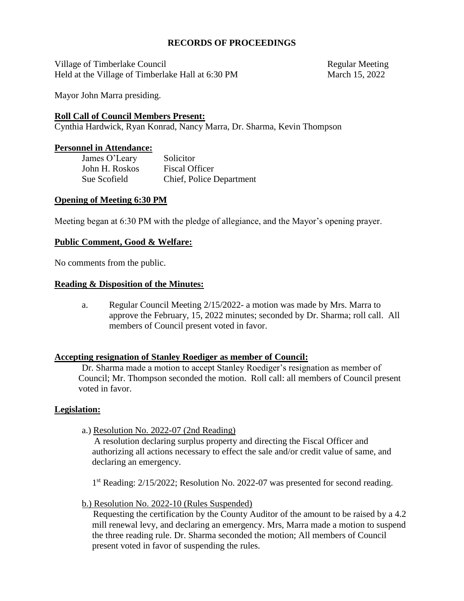### **RECORDS OF PROCEEDINGS**

Village of Timberlake Council and the council and the Regular Meeting Held at the Village of Timberlake Hall at 6:30 PM March 15, 2022

Mayor John Marra presiding.

### **Roll Call of Council Members Present:**

Cynthia Hardwick, Ryan Konrad, Nancy Marra, Dr. Sharma, Kevin Thompson

#### **Personnel in Attendance:**

James O'Leary Solicitor John H. Roskos Fiscal Officer Sue Scofield Chief, Police Department

#### **Opening of Meeting 6:30 PM**

Meeting began at 6:30 PM with the pledge of allegiance, and the Mayor's opening prayer.

#### **Public Comment, Good & Welfare:**

No comments from the public.

#### **Reading & Disposition of the Minutes:**

a. Regular Council Meeting 2/15/2022- a motion was made by Mrs. Marra to approve the February, 15, 2022 minutes; seconded by Dr. Sharma; roll call. All members of Council present voted in favor.

#### **Accepting resignation of Stanley Roediger as member of Council:**

Dr. Sharma made a motion to accept Stanley Roediger's resignation as member of Council; Mr. Thompson seconded the motion. Roll call: all members of Council present voted in favor.

## **Legislation:**

a.) Resolution No. 2022-07 (2nd Reading)

A resolution declaring surplus property and directing the Fiscal Officer and authorizing all actions necessary to effect the sale and/or credit value of same, and declaring an emergency.

1<sup>st</sup> Reading: 2/15/2022; Resolution No. 2022-07 was presented for second reading.

b.) Resolution No. 2022-10 (Rules Suspended)

 Requesting the certification by the County Auditor of the amount to be raised by a 4.2 mill renewal levy, and declaring an emergency. Mrs, Marra made a motion to suspend the three reading rule. Dr. Sharma seconded the motion; All members of Council present voted in favor of suspending the rules.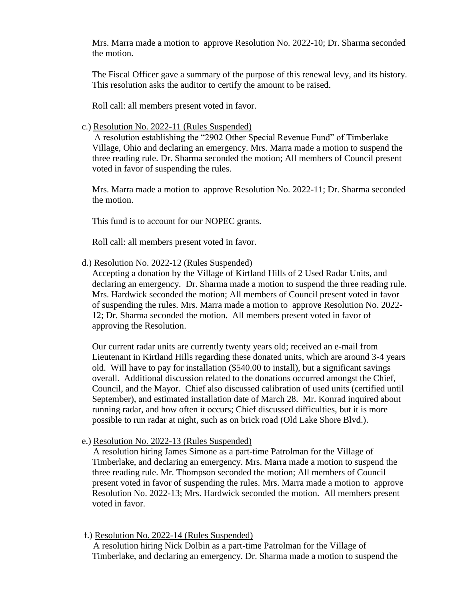Mrs. Marra made a motion to approve Resolution No. 2022-10; Dr. Sharma seconded the motion.

The Fiscal Officer gave a summary of the purpose of this renewal levy, and its history. This resolution asks the auditor to certify the amount to be raised.

Roll call: all members present voted in favor.

c.) Resolution No. 2022-11 (Rules Suspended)

A resolution establishing the "2902 Other Special Revenue Fund" of Timberlake Village, Ohio and declaring an emergency. Mrs. Marra made a motion to suspend the three reading rule. Dr. Sharma seconded the motion; All members of Council present voted in favor of suspending the rules.

Mrs. Marra made a motion to approve Resolution No. 2022-11; Dr. Sharma seconded the motion.

This fund is to account for our NOPEC grants.

Roll call: all members present voted in favor.

d.) Resolution No. 2022-12 (Rules Suspended)

Accepting a donation by the Village of Kirtland Hills of 2 Used Radar Units, and declaring an emergency. Dr. Sharma made a motion to suspend the three reading rule. Mrs. Hardwick seconded the motion; All members of Council present voted in favor of suspending the rules. Mrs. Marra made a motion to approve Resolution No. 2022- 12; Dr. Sharma seconded the motion. All members present voted in favor of approving the Resolution.

Our current radar units are currently twenty years old; received an e-mail from Lieutenant in Kirtland Hills regarding these donated units, which are around 3-4 years old. Will have to pay for installation (\$540.00 to install), but a significant savings overall. Additional discussion related to the donations occurred amongst the Chief, Council, and the Mayor. Chief also discussed calibration of used units (certified until September), and estimated installation date of March 28. Mr. Konrad inquired about running radar, and how often it occurs; Chief discussed difficulties, but it is more possible to run radar at night, such as on brick road (Old Lake Shore Blvd.).

e.) Resolution No. 2022-13 (Rules Suspended)

 A resolution hiring James Simone as a part-time Patrolman for the Village of Timberlake, and declaring an emergency. Mrs. Marra made a motion to suspend the three reading rule. Mr. Thompson seconded the motion; All members of Council present voted in favor of suspending the rules. Mrs. Marra made a motion to approve Resolution No. 2022-13; Mrs. Hardwick seconded the motion. All members present voted in favor.

f.) Resolution No. 2022-14 (Rules Suspended)

 A resolution hiring Nick Dolbin as a part-time Patrolman for the Village of Timberlake, and declaring an emergency. Dr. Sharma made a motion to suspend the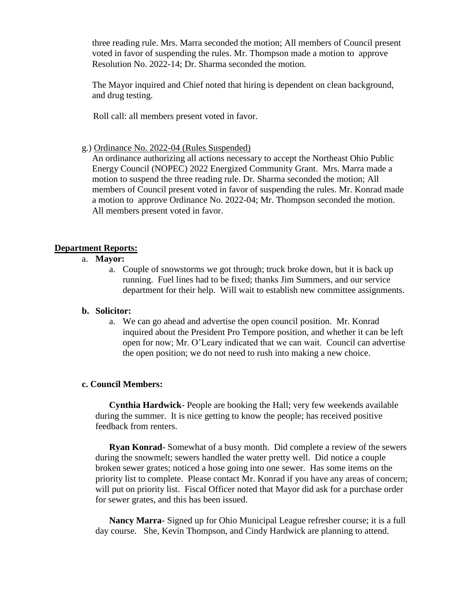three reading rule. Mrs. Marra seconded the motion; All members of Council present voted in favor of suspending the rules. Mr. Thompson made a motion to approve Resolution No. 2022-14; Dr. Sharma seconded the motion.

The Mayor inquired and Chief noted that hiring is dependent on clean background, and drug testing.

Roll call: all members present voted in favor.

g.) Ordinance No. 2022-04 (Rules Suspended)

An ordinance authorizing all actions necessary to accept the Northeast Ohio Public Energy Council (NOPEC) 2022 Energized Community Grant. Mrs. Marra made a motion to suspend the three reading rule. Dr. Sharma seconded the motion; All members of Council present voted in favor of suspending the rules. Mr. Konrad made a motion to approve Ordinance No. 2022-04; Mr. Thompson seconded the motion. All members present voted in favor.

## **Department Reports:**

- a. **Mayor:**
	- a. Couple of snowstorms we got through; truck broke down, but it is back up running. Fuel lines had to be fixed; thanks Jim Summers, and our service department for their help. Will wait to establish new committee assignments.

## **b. Solicitor:**

a. We can go ahead and advertise the open council position. Mr. Konrad inquired about the President Pro Tempore position, and whether it can be left open for now; Mr. O'Leary indicated that we can wait. Council can advertise the open position; we do not need to rush into making a new choice.

## **c. Council Members:**

**Cynthia Hardwick**- People are booking the Hall; very few weekends available during the summer. It is nice getting to know the people; has received positive feedback from renters.

**Ryan Konrad**- Somewhat of a busy month. Did complete a review of the sewers during the snowmelt; sewers handled the water pretty well. Did notice a couple broken sewer grates; noticed a hose going into one sewer. Has some items on the priority list to complete. Please contact Mr. Konrad if you have any areas of concern; will put on priority list. Fiscal Officer noted that Mayor did ask for a purchase order for sewer grates, and this has been issued.

**Nancy Marra**- Signed up for Ohio Municipal League refresher course; it is a full day course. She, Kevin Thompson, and Cindy Hardwick are planning to attend.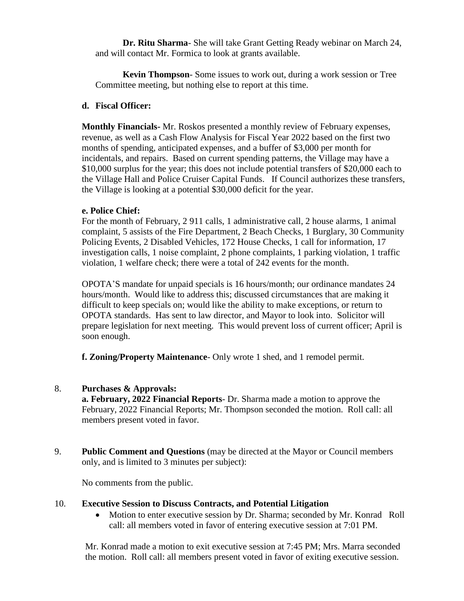**Dr. Ritu Sharma**- She will take Grant Getting Ready webinar on March 24, and will contact Mr. Formica to look at grants available.

**Kevin Thompson**- Some issues to work out, during a work session or Tree Committee meeting, but nothing else to report at this time.

## **d. Fiscal Officer:**

**Monthly Financials-** Mr. Roskos presented a monthly review of February expenses, revenue, as well as a Cash Flow Analysis for Fiscal Year 2022 based on the first two months of spending, anticipated expenses, and a buffer of \$3,000 per month for incidentals, and repairs. Based on current spending patterns, the Village may have a \$10,000 surplus for the year; this does not include potential transfers of \$20,000 each to the Village Hall and Police Cruiser Capital Funds. If Council authorizes these transfers, the Village is looking at a potential \$30,000 deficit for the year.

## **e. Police Chief:**

For the month of February, 2 911 calls, 1 administrative call, 2 house alarms, 1 animal complaint, 5 assists of the Fire Department, 2 Beach Checks, 1 Burglary, 30 Community Policing Events, 2 Disabled Vehicles, 172 House Checks, 1 call for information, 17 investigation calls, 1 noise complaint, 2 phone complaints, 1 parking violation, 1 traffic violation, 1 welfare check; there were a total of 242 events for the month.

OPOTA'S mandate for unpaid specials is 16 hours/month; our ordinance mandates 24 hours/month. Would like to address this; discussed circumstances that are making it difficult to keep specials on; would like the ability to make exceptions, or return to OPOTA standards. Has sent to law director, and Mayor to look into. Solicitor will prepare legislation for next meeting. This would prevent loss of current officer; April is soon enough.

**f. Zoning/Property Maintenance**- Only wrote 1 shed, and 1 remodel permit.

# 8. **Purchases & Approvals:**

**a. February, 2022 Financial Reports**- Dr. Sharma made a motion to approve the February, 2022 Financial Reports; Mr. Thompson seconded the motion. Roll call: all members present voted in favor.

9. **Public Comment and Questions** (may be directed at the Mayor or Council members only, and is limited to 3 minutes per subject):

No comments from the public.

## 10. **Executive Session to Discuss Contracts, and Potential Litigation**

• Motion to enter executive session by Dr. Sharma; seconded by Mr. Konrad Roll call: all members voted in favor of entering executive session at 7:01 PM.

Mr. Konrad made a motion to exit executive session at 7:45 PM; Mrs. Marra seconded the motion. Roll call: all members present voted in favor of exiting executive session.